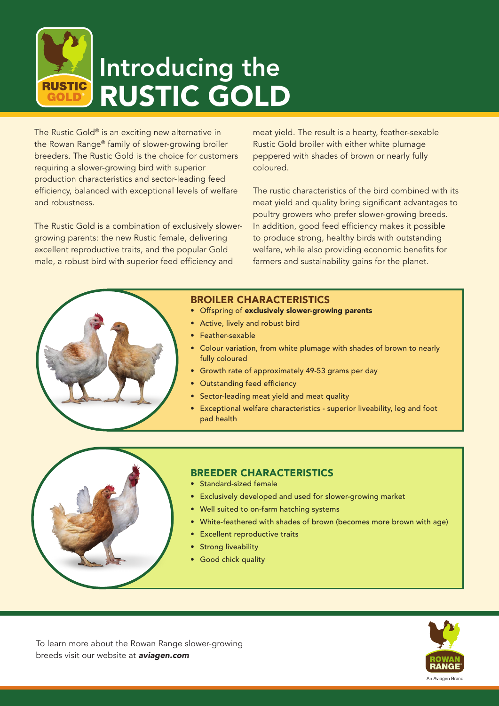

The Rustic Gold® is an exciting new alternative in the Rowan Range® family of slower-growing broiler breeders. The Rustic Gold is the choice for customers requiring a slower-growing bird with superior production characteristics and sector-leading feed efficiency, balanced with exceptional levels of welfare and robustness.

The Rustic Gold is a combination of exclusively slowergrowing parents: the new Rustic female, delivering excellent reproductive traits, and the popular Gold male, a robust bird with superior feed efficiency and

meat yield. The result is a hearty, feather-sexable Rustic Gold broiler with either white plumage peppered with shades of brown or nearly fully coloured.

The rustic characteristics of the bird combined with its meat yield and quality bring significant advantages to poultry growers who prefer slower-growing breeds. In addition, good feed efficiency makes it possible to produce strong, healthy birds with outstanding welfare, while also providing economic benefits for farmers and sustainability gains for the planet.

## BROILER CHARACTERISTICS

- Offspring of exclusively slower-growing parents
- Active, lively and robust bird
- Feather-sexable
- Colour variation, from white plumage with shades of brown to nearly fully coloured
- Growth rate of approximately 49-53 grams per day
- Outstanding feed efficiency
- Sector-leading meat yield and meat quality
- Exceptional welfare characteristics superior liveability, leg and foot pad health



## BREEDER CHARACTERISTICS

- Standard-sized female
- Exclusively developed and used for slower-growing market
- Well suited to on-farm hatching systems
- White-feathered with shades of brown (becomes more brown with age)
- **Excellent reproductive traits**
- Strong liveability
- Good chick quality



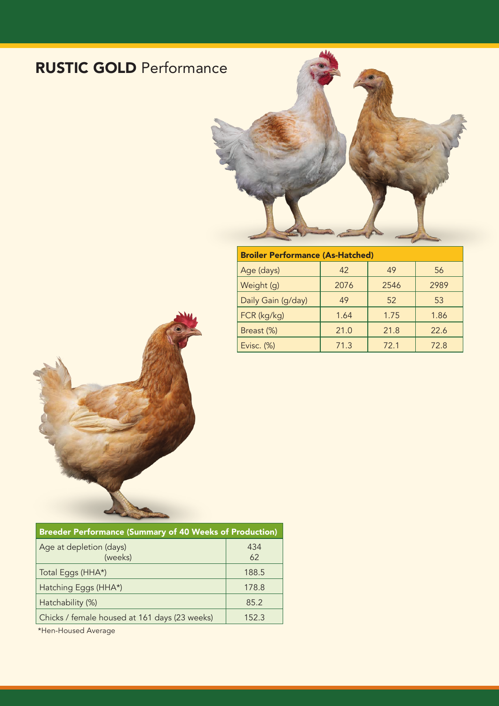## RUSTIC GOLD Performance



| <b>Broiler Performance (As-Hatched)</b> |      |      |      |  |  |
|-----------------------------------------|------|------|------|--|--|
| Age (days)                              | 42   | 49   | 56   |  |  |
| Weight (g)                              | 2076 | 2546 | 2989 |  |  |
| Daily Gain (g/day)                      | 49   | 52   | 53   |  |  |
| FCR (kg/kg)                             | 1.64 | 1.75 | 1.86 |  |  |
| Breast (%)                              | 21.0 | 21.8 | 22.6 |  |  |
| Evisc. (%)                              | 71.3 | 72.1 | 72.8 |  |  |
|                                         |      |      |      |  |  |



| <b>Breeder Performance (Summary of 40 Weeks of Production)</b> |           |  |  |  |
|----------------------------------------------------------------|-----------|--|--|--|
| Age at depletion (days)<br>(weeks)                             | 434<br>62 |  |  |  |
| Total Eggs (HHA*)                                              | 188.5     |  |  |  |
| Hatching Eggs (HHA*)                                           | 178.8     |  |  |  |
| Hatchability (%)                                               | 85.2      |  |  |  |
| Chicks / female housed at 161 days (23 weeks)                  | 152.3     |  |  |  |

\*Hen-Housed Average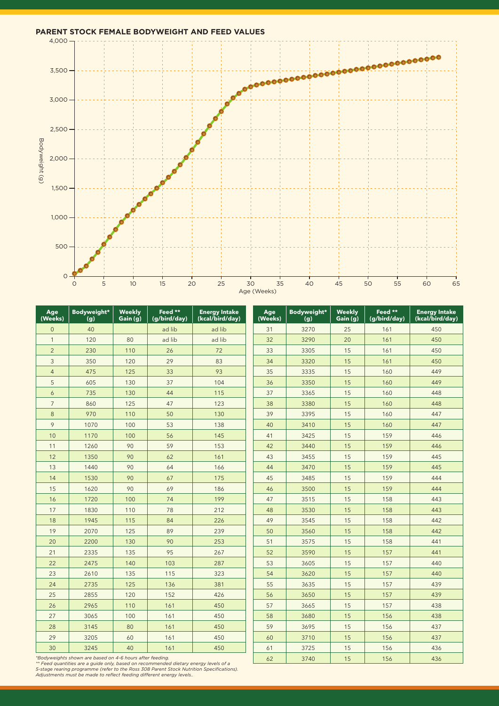

| Age<br>(Weeks)                                                                                                                        | Bodyweight*<br>(g) | <b>Weekly</b><br>Gain (g) | Feed **<br>(g/bird/day) | <b>Energy Intake</b><br>(kcal/bird/day) | Age<br>(Weeks) | Bodyweight*<br>(g) | Weekly<br>Gain (g) | Feed **<br>(g/bird/day) | <b>Energy Intake</b><br>(kcal/bird/day) |
|---------------------------------------------------------------------------------------------------------------------------------------|--------------------|---------------------------|-------------------------|-----------------------------------------|----------------|--------------------|--------------------|-------------------------|-----------------------------------------|
| $\overline{0}$                                                                                                                        | 40                 |                           | ad lib                  | ad lib                                  | 31             | 3270               | 25                 | 161                     | 450                                     |
| $\mathbf{1}$                                                                                                                          | 120                | 80                        | ad lib                  | ad lib                                  | 32             | 3290               | 20                 | 161                     | 450                                     |
| $\overline{2}$                                                                                                                        | 230                | 110                       | 26                      | 72                                      | 33             | 3305               | 15                 | 161                     | 450                                     |
| 3                                                                                                                                     | 350                | 120                       | 29                      | 83                                      | 34             | 3320               | 15                 | 161                     | 450                                     |
| $\overline{4}$                                                                                                                        | 475                | 125                       | 33                      | 93                                      | 35             | 3335               | 15                 | 160                     | 449                                     |
| 5                                                                                                                                     | 605                | 130                       | 37                      | 104                                     | 36             | 3350               | 15                 | 160                     | 449                                     |
| 6                                                                                                                                     | 735                | 130                       | 44                      | 115                                     | 37             | 3365               | 15                 | 160                     | 448                                     |
| $\overline{7}$                                                                                                                        | 860                | 125                       | 47                      | 123                                     | 38             | 3380               | 15                 | 160                     | 448                                     |
| 8                                                                                                                                     | 970                | 110                       | 50                      | 130                                     | 39             | 3395               | 15                 | 160                     | 447                                     |
| 9                                                                                                                                     | 1070               | 100                       | 53                      | 138                                     | 40             | 3410               | 15                 | 160                     | 447                                     |
| 10                                                                                                                                    | 1170               | 100                       | 56                      | 145                                     | 41             | 3425               | 15                 | 159                     | 446                                     |
| 11                                                                                                                                    | 1260               | 90                        | 59                      | 153                                     | 42             | 3440               | 15                 | 159                     | 446                                     |
| 12                                                                                                                                    | 1350               | 90                        | 62                      | 161                                     | 43             | 3455               | 15                 | 159                     | 445                                     |
| 13                                                                                                                                    | 1440               | 90                        | 64                      | 166                                     | 44             | 3470               | 15                 | 159                     | 445                                     |
| 14                                                                                                                                    | 1530               | 90                        | 67                      | 175                                     | 45             | 3485               | 15                 | 159                     | 444                                     |
| 15                                                                                                                                    | 1620               | 90                        | 69                      | 186                                     | 46             | 3500               | 15                 | 159                     | 444                                     |
| 16                                                                                                                                    | 1720               | 100                       | 74                      | 199                                     | 47             | 3515               | 15                 | 158                     | 443                                     |
| 17                                                                                                                                    | 1830               | 110                       | 78                      | 212                                     | 48             | 3530               | 15                 | 158                     | 443                                     |
| 18                                                                                                                                    | 1945               | 115                       | 84                      | 226                                     | 49             | 3545               | 15                 | 158                     | 442                                     |
| 19                                                                                                                                    | 2070               | 125                       | 89                      | 239                                     | 50             | 3560               | 15                 | 158                     | 442                                     |
| 20                                                                                                                                    | 2200               | 130                       | 90                      | 253                                     | 51             | 3575               | 15                 | 158                     | 441                                     |
| 21                                                                                                                                    | 2335               | 135                       | 95                      | 267                                     | 52             | 3590               | 15                 | 157                     | 441                                     |
| 22                                                                                                                                    | 2475               | 140                       | 103                     | 287                                     | 53             | 3605               | 15                 | 157                     | 440                                     |
| 23                                                                                                                                    | 2610               | 135                       | 115                     | 323                                     | 54             | 3620               | 15                 | 157                     | 440                                     |
| 24                                                                                                                                    | 2735               | 125                       | 136                     | 381                                     | 55             | 3635               | 15                 | 157                     | 439                                     |
| 25                                                                                                                                    | 2855               | 120                       | 152                     | 426                                     | 56             | 3650               | 15                 | 157                     | 439                                     |
| 26                                                                                                                                    | 2965               | 110                       | 161                     | 450                                     | 57             | 3665               | 15                 | 157                     | 438                                     |
| 27                                                                                                                                    | 3065               | 100                       | 161                     | 450                                     | 58             | 3680               | 15                 | 156                     | 438                                     |
| 28                                                                                                                                    | 3145               | 80                        | 161                     | 450                                     | 59             | 3695               | 15                 | 156                     | 437                                     |
| 29                                                                                                                                    | 3205               | 60                        | 161                     | 450                                     | 60             | 3710               | 15                 | 156                     | 437                                     |
| 30                                                                                                                                    | 3245               | 40                        | 161                     | 450                                     | 61             | 3725               | 15                 | 156                     | 436                                     |
| *Bodyweights shown are based on 4-6 hours after feeding.<br>ad diatam: anavau laugla af a<br>patition are a quido only become on room |                    |                           | 62                      | 3740                                    | 15             | 156                | 436                |                         |                                         |

\*\* Feed quantities are a guide only, based on recommended dietary energy levels of a<br>5-stage rearing programme (refer to the Ross 308 Parent Stock Nutrition Specifications).<br>Adjustments must be made to reflect feeding diff